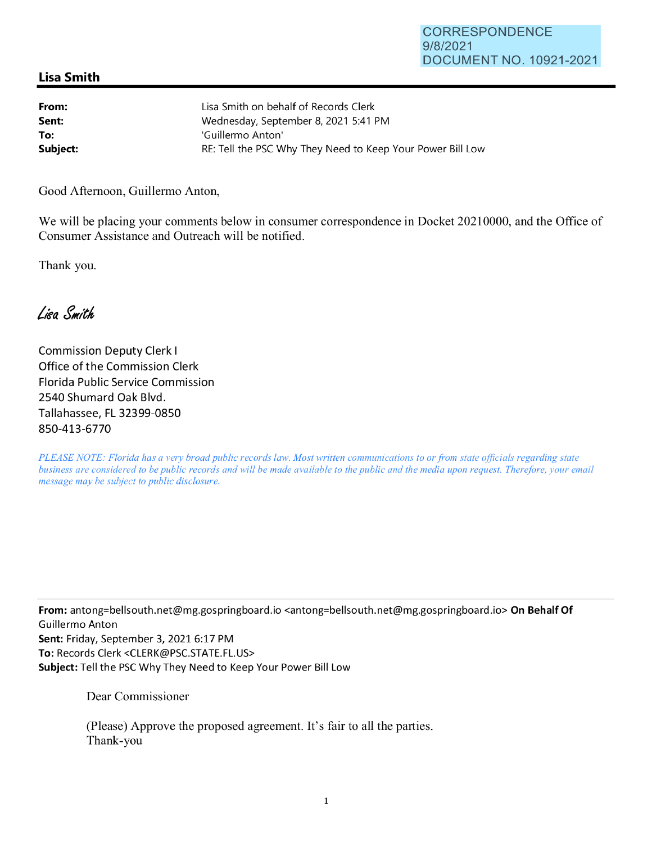## **Lisa Smith**

| From:    | Lisa Smith on behalf of Records Clerk                      |
|----------|------------------------------------------------------------|
| Sent:    | Wednesday, September 8, 2021 5:41 PM                       |
| To:      | 'Guillermo Anton'                                          |
| Subject: | RE: Tell the PSC Why They Need to Keep Your Power Bill Low |

Good Afternoon, Guillermo Anton,

We will be placing your comments below in consumer correspondence in Docket 20210000, and the Office of Consumer Assistance and Outreach will be notified.

Thank you.

Lisa Smith

Commission Deputy Clerk I Office of the Commission Clerk Florida Public Service Commission 2540 Shumard Oak Blvd. Tallahassee, FL 32399-0850 850-413-6770

*PLEASE NOTE: Florida has a very broad public records law. Most written communications to or from state officials regarding state business are considered to be public records and will be made available to the public and the media upon request. Therefore, your email message may be subject to public disclosure.* 

**From:** antong=bellsouth.net@mg.gospringboard.io <antong=bellsouth.net@mg.gospringboard.io> **On Behalf Of**  Guillermo Anton **Sent:** Friday, September 3, 2021 6:17 PM **To:** Records Clerk <CLERK@PSC.STATE.FL.US> **Subject:** Tell the PSC Why They Need to Keep Your Power Bill Low

Dear Commissioner

(Please) Approve the proposed agreement. It's fair to all the parties. Thank-you